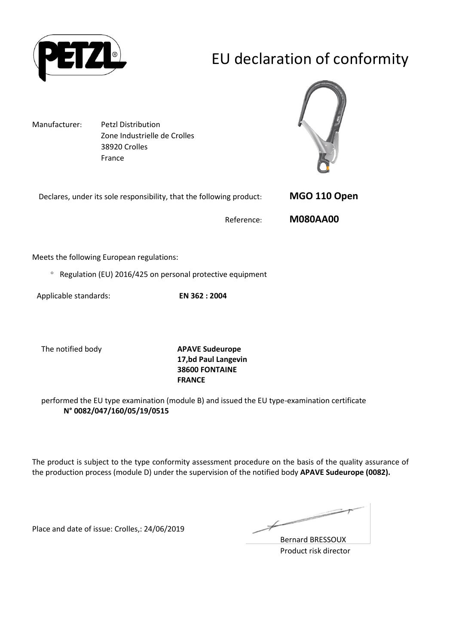

# EU declaration of conformity

Manufacturer: Petzl Distribution Zone Industrielle de Crolles 38920 Crolles France



| Declares, under its sole responsibility, that the following product: | MGO 110 Open    |
|----------------------------------------------------------------------|-----------------|
| Reference:                                                           | <b>M080AA00</b> |

Meets the following European regulations:

 $\degree$  Regulation (EU) 2016/425 on personal protective equipment

Applicable standards: **EN 362 : 2004**

The notified body **APAVE Sudeurope**

**17,bd Paul Langevin 38600 FONTAINE FRANCE**

performed the EU type examination (module B) and issued the EU type-examination certificate **N° 0082/047/160/05/19/0515**

The product is subject to the type conformity assessment procedure on the basis of the quality assurance of the production process (module D) under the supervision of the notified body **APAVE Sudeurope (0082).**

Place and date of issue: Crolles,: 24/06/2019

≠

Bernard BRESSOUX Product risk director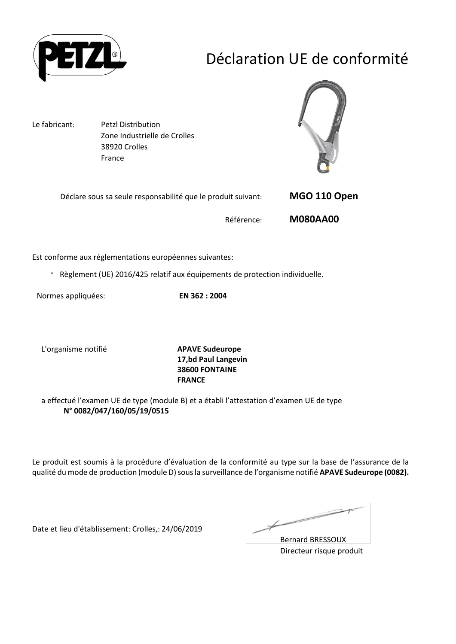

## Déclaration UE de conformité

Le fabricant: Petzl Distribution Zone Industrielle de Crolles 38920 Crolles France



| Déclare sous sa seule responsabilité que le produit suivant: | MGO 110 Open    |
|--------------------------------------------------------------|-----------------|
| Référence:                                                   | <b>M080AA00</b> |

Est conforme aux réglementations européennes suivantes:

Règlement (UE) 2016/425 relatif aux équipements de protection individuelle.

Normes appliquées: **EN 362 : 2004**

L'organisme notifié **APAVE Sudeurope**

**17,bd Paul Langevin 38600 FONTAINE FRANCE**

a effectué l'examen UE de type (module B) et a établi l'attestation d'examen UE de type **N° 0082/047/160/05/19/0515**

Le produit est soumis à la procédure d'évaluation de la conformité au type sur la base de l'assurance de la qualité du mode de production (module D) sous la surveillance de l'organisme notifié **APAVE Sudeurope (0082).**

Date et lieu d'établissement: Crolles,: 24/06/2019

Ł

Bernard BRESSOUX Directeur risque produit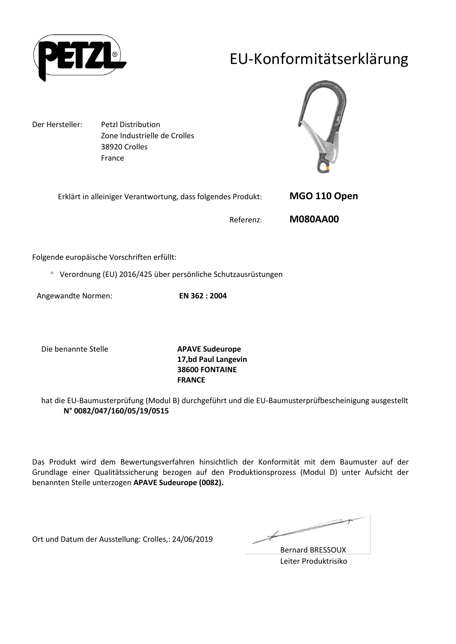

### EU-Konformitätserklärung

Der Hersteller: Petzl Distribution Zone Industrielle de Crolles 38920 Crolles France



| Erklärt in alleiniger Verantwortung, dass folgendes Produkt: | MGO 110 Open    |
|--------------------------------------------------------------|-----------------|
| Referenz:                                                    | <b>M080AA00</b> |

Folgende europäische Vorschriften erfüllt:

Verordnung (EU) 2016/425 über persönliche Schutzausrüstungen

Angewandte Normen: **EN 362 : 2004**

Die benannte Stelle **APAVE Sudeurope**

**17,bd Paul Langevin 38600 FONTAINE FRANCE**

hat die EU-Baumusterprüfung (Modul B) durchgeführt und die EU-Baumusterprüfbescheinigung ausgestellt **N° 0082/047/160/05/19/0515**

Das Produkt wird dem Bewertungsverfahren hinsichtlich der Konformität mit dem Baumuster auf der Grundlage einer Qualitätssicherung bezogen auf den Produktionsprozess (Modul D) unter Aufsicht der benannten Stelle unterzogen **APAVE Sudeurope (0082).**

Ort und Datum der Ausstellung: Crolles,: 24/06/2019

 $\not\!\!\!\!/$ 

Bernard BRESSOUX Leiter Produktrisiko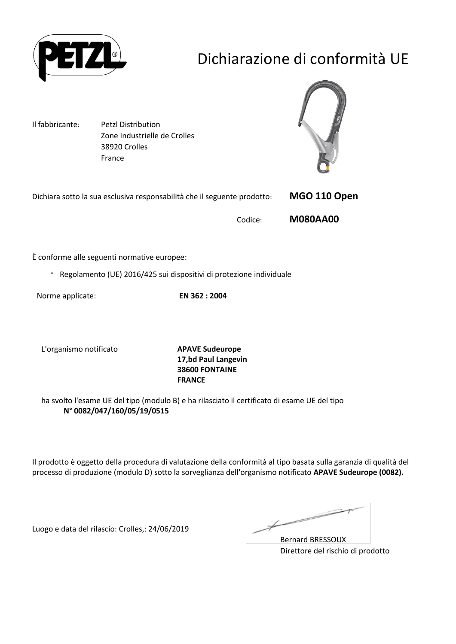

# Dichiarazione di conformità UE

Il fabbricante: Petzl Distribution Zone Industrielle de Crolles 38920 Crolles France



| Dichiara sotto la sua esclusiva responsabilità che il seguente prodotto: | MGO 110 Open |
|--------------------------------------------------------------------------|--------------|
|                                                                          |              |

Codice: **M080AA00**

È conforme alle seguenti normative europee:

Regolamento (UE) 2016/425 sui dispositivi di protezione individuale

Norme applicate: **EN 362 : 2004**

L'organismo notificato **APAVE Sudeurope**

**17,bd Paul Langevin 38600 FONTAINE FRANCE**

ha svolto l'esame UE del tipo (modulo B) e ha rilasciato il certificato di esame UE del tipo **N° 0082/047/160/05/19/0515**

Il prodotto è oggetto della procedura di valutazione della conformità al tipo basata sulla garanzia di qualità del processo di produzione (modulo D) sotto la sorveglianza dell'organismo notificato **APAVE Sudeurope (0082).**

Luogo e data del rilascio: Crolles,: 24/06/2019

Ł

Bernard BRESSOUX Direttore del rischio di prodotto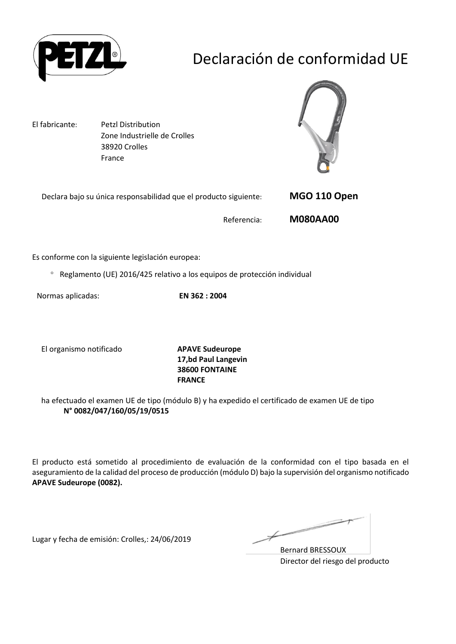

# Declaración de conformidad UE

El fabricante: Petzl Distribution Zone Industrielle de Crolles 38920 Crolles France



| Declara bajo su única responsabilidad que el producto siguiente: | MGO 110 Open    |
|------------------------------------------------------------------|-----------------|
| Referencia:                                                      | <b>M080AA00</b> |

Es conforme con la siguiente legislación europea:

Reglamento (UE) 2016/425 relativo a los equipos de protección individual

Normas aplicadas: **EN 362 : 2004**

El organismo notificado **APAVE Sudeurope**

**17,bd Paul Langevin 38600 FONTAINE FRANCE**

ha efectuado el examen UE de tipo (módulo B) y ha expedido el certificado de examen UE de tipo **N° 0082/047/160/05/19/0515**

El producto está sometido al procedimiento de evaluación de la conformidad con el tipo basada en el aseguramiento de la calidad del proceso de producción (módulo D) bajo la supervisión del organismo notificado **APAVE Sudeurope (0082).**

Lugar y fecha de emisión: Crolles,: 24/06/2019

 $\not\!\!\!\!/$ 

Bernard BRESSOUX Director del riesgo del producto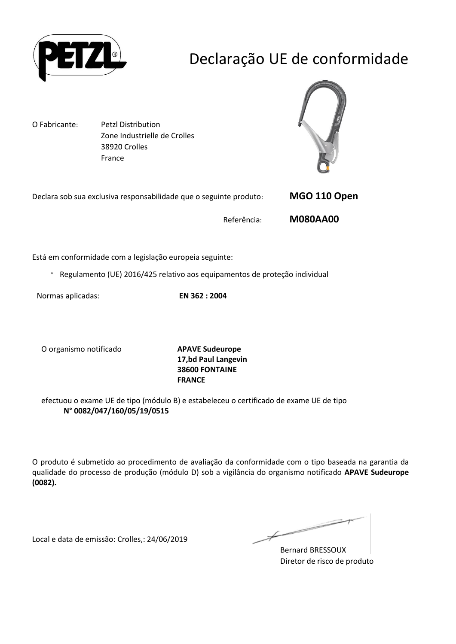

# Declaração UE de conformidade

O Fabricante: Petzl Distribution Zone Industrielle de Crolles 38920 Crolles France



| Declara sob sua exclusiva responsabilidade que o seguinte produto: | MGO 110 Open    |
|--------------------------------------------------------------------|-----------------|
| Referência:                                                        | <b>M080AA00</b> |

Está em conformidade com a legislação europeia seguinte:

Regulamento (UE) 2016/425 relativo aos equipamentos de proteção individual

Normas aplicadas: **EN 362 : 2004**

O organismo notificado **APAVE Sudeurope**

**17,bd Paul Langevin 38600 FONTAINE FRANCE**

efectuou o exame UE de tipo (módulo B) e estabeleceu o certificado de exame UE de tipo **N° 0082/047/160/05/19/0515**

O produto é submetido ao procedimento de avaliação da conformidade com o tipo baseada na garantia da qualidade do processo de produção (módulo D) sob a vigilância do organismo notificado **APAVE Sudeurope (0082).**

Local e data de emissão: Crolles,: 24/06/2019

 $\not\!\!\!\!/$ 

Bernard BRESSOUX Diretor de risco de produto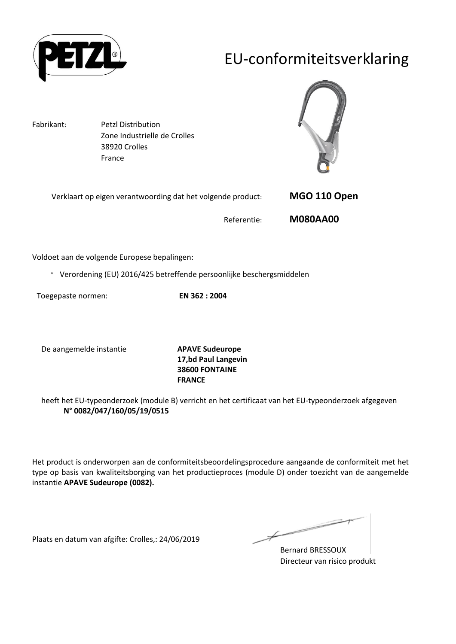

### EU-conformiteitsverklaring

Fabrikant: Petzl Distribution Zone Industrielle de Crolles 38920 Crolles France



| Verklaart op eigen verantwoording dat het volgende product: | MGO 110 Open    |
|-------------------------------------------------------------|-----------------|
| Referentie:                                                 | <b>M080AA00</b> |

Voldoet aan de volgende Europese bepalingen:

Verordening (EU) 2016/425 betreffende persoonlijke beschergsmiddelen

Toegepaste normen: **EN 362 : 2004**

De aangemelde instantie **APAVE Sudeurope**

**17,bd Paul Langevin 38600 FONTAINE FRANCE**

heeft het EU-typeonderzoek (module B) verricht en het certificaat van het EU-typeonderzoek afgegeven **N° 0082/047/160/05/19/0515**

Het product is onderworpen aan de conformiteitsbeoordelingsprocedure aangaande de conformiteit met het type op basis van kwaliteitsborging van het productieproces (module D) onder toezicht van de aangemelde instantie **APAVE Sudeurope (0082).**

Plaats en datum van afgifte: Crolles,: 24/06/2019

 $\not\!\!\!\!/-$ 

Bernard BRESSOUX Directeur van risico produkt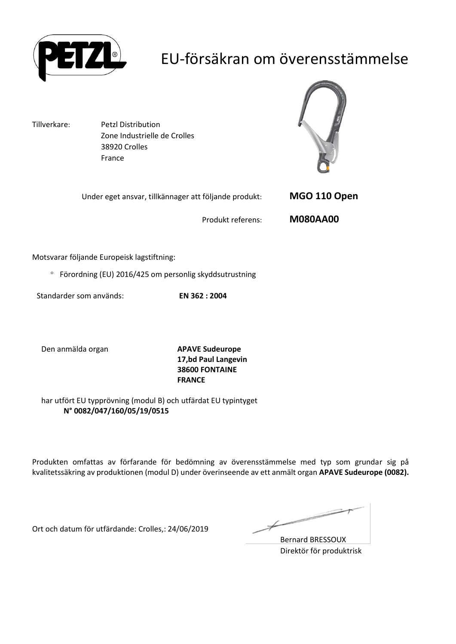

### EU-försäkran om överensstämmelse

Tillverkare: Petzl Distribution Zone Industrielle de Crolles 38920 Crolles France



| <b>M080AA00</b><br>Produkt referens: | Under eget ansvar, tillkännager att följande produkt: | MGO 110 Open |
|--------------------------------------|-------------------------------------------------------|--------------|
|                                      |                                                       |              |

Motsvarar följande Europeisk lagstiftning:

Förordning (EU) 2016/425 om personlig skyddsutrustning

Standarder som används: **EN 362 : 2004**

Den anmälda organ **APAVE Sudeurope**

**17,bd Paul Langevin 38600 FONTAINE FRANCE**

har utfört EU typprövning (modul B) och utfärdat EU typintyget **N° 0082/047/160/05/19/0515**

Produkten omfattas av förfarande för bedömning av överensstämmelse med typ som grundar sig på kvalitetssäkring av produktionen (modul D) under överinseende av ett anmält organ **APAVE Sudeurope (0082).**

Ort och datum för utfärdande: Crolles,: 24/06/2019

Ł

Bernard BRESSOUX Direktör för produktrisk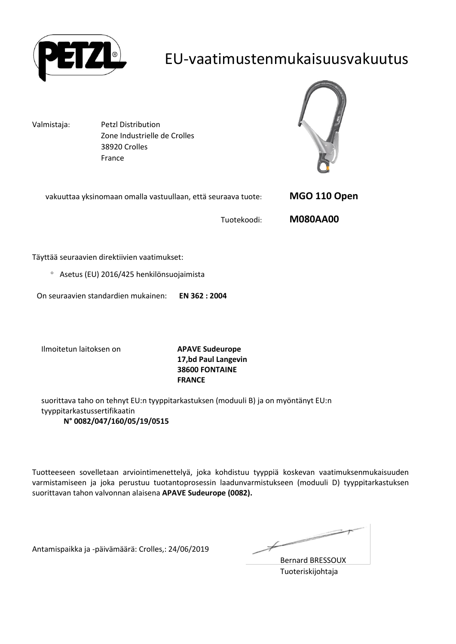

### EU-vaatimustenmukaisuusvakuutus

Valmistaja: Petzl Distribution Zone Industrielle de Crolles 38920 Crolles France



| vakuuttaa yksinomaan omalla vastuullaan, että seuraava tuote: | MGO 110 Open    |
|---------------------------------------------------------------|-----------------|
| Tuotekoodi:                                                   | <b>M080AA00</b> |

Täyttää seuraavien direktiivien vaatimukset:

Asetus (EU) 2016/425 henkilönsuojaimista

On seuraavien standardien mukainen: **EN 362 : 2004**

Ilmoitetun laitoksen on **APAVE Sudeurope**

**17,bd Paul Langevin 38600 FONTAINE FRANCE**

suorittava taho on tehnyt EU:n tyyppitarkastuksen (moduuli B) ja on myöntänyt EU:n tyyppitarkastussertifikaatin **N° 0082/047/160/05/19/0515**

Tuotteeseen sovelletaan arviointimenettelyä, joka kohdistuu tyyppiä koskevan vaatimuksenmukaisuuden varmistamiseen ja joka perustuu tuotantoprosessin laadunvarmistukseen (moduuli D) tyyppitarkastuksen suorittavan tahon valvonnan alaisena **APAVE Sudeurope (0082).**

Antamispaikka ja -päivämäärä: Crolles,: 24/06/2019

 $\overline{\phantom{a}}$ 

Bernard BRESSOUX Tuoteriskijohtaja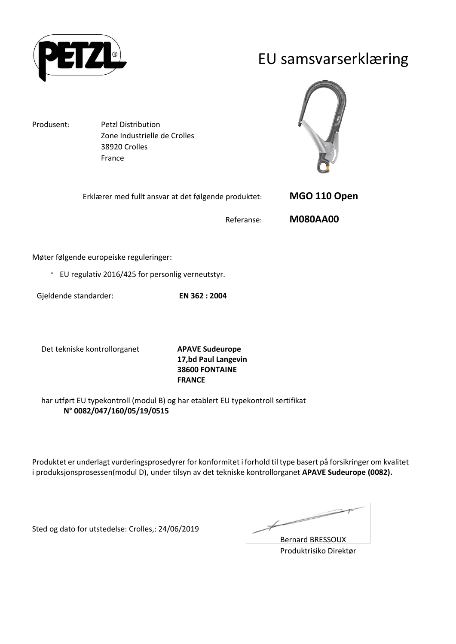

#### EU samsvarserklæring

Produsent: Petzl Distribution Zone Industrielle de Crolles 38920 Crolles France



| Erklærer med fullt ansvar at det følgende produktet: | MGO 110 Open    |
|------------------------------------------------------|-----------------|
| Referanse:                                           | <b>M080AA00</b> |

Møter følgende europeiske reguleringer:

EU regulativ 2016/425 for personlig verneutstyr.

Gjeldende standarder: **EN 362 : 2004**

Det tekniske kontrollorganet **APAVE Sudeurope**

**17,bd Paul Langevin 38600 FONTAINE FRANCE**

har utført EU typekontroll (modul B) og har etablert EU typekontroll sertifikat **N° 0082/047/160/05/19/0515**

Produktet er underlagt vurderingsprosedyrer for konformitet i forhold til type basert på forsikringer om kvalitet i produksjonsprosessen(modul D), under tilsyn av det tekniske kontrollorganet **APAVE Sudeurope (0082).**

Sted og dato for utstedelse: Crolles,: 24/06/2019

Ł

Bernard BRESSOUX Produktrisiko Direktør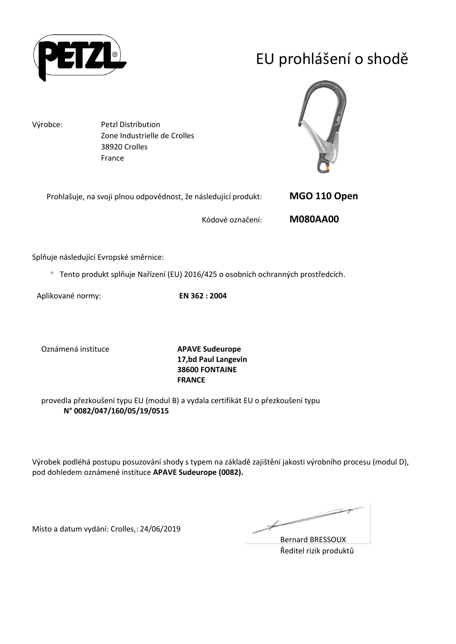

# EU prohlášení o shodě

Výrobce: Petzl Distribution

Zone Industrielle de Crolles 38920 Crolles France



| Prohlašuje, na svoji plnou odpovědnost, že následující produkt: | MGO 110 Open    |
|-----------------------------------------------------------------|-----------------|
| Kódové označení:                                                | <b>M080AA00</b> |

Splňuje následující Evropské směrnice:

Tento produkt splňuje Nařízení (EU) 2016/425 o osobních ochranných prostředcích.

Aplikované normy: **EN 362 : 2004**

Oznámená instituce **APAVE Sudeurope**

**17,bd Paul Langevin 38600 FONTAINE FRANCE**

provedla přezkoušení typu EU (modul B) a vydala certifikát EU o přezkoušení typu **N° 0082/047/160/05/19/0515**

Výrobek podléhá postupu posuzování shody s typem na základě zajištění jakosti výrobního procesu (modul D), pod dohledem oznámené instituce **APAVE Sudeurope (0082).**

Místo a datum vydání: Crolles,: 24/06/2019

Ł

Bernard BRESSOUX Ředitel rizik produktů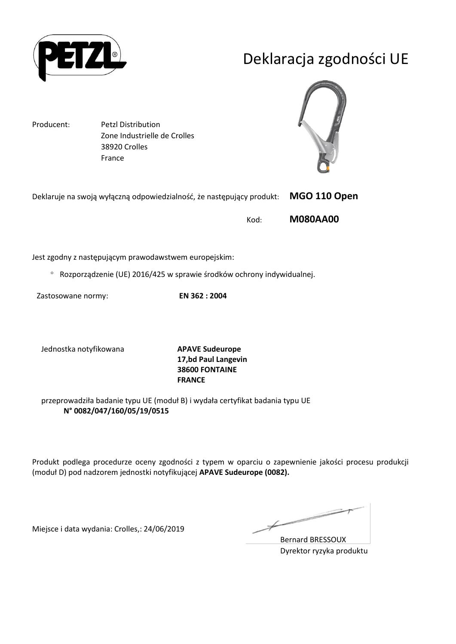

## Deklaracja zgodności UE

Producent: Petzl Distribution Zone Industrielle de Crolles 38920 Crolles France



| Deklaruje na swoją wyłączną odpowiedzialność, że następujący produkt: | <b>MGO 110 Open</b> |
|-----------------------------------------------------------------------|---------------------|
| Kod:                                                                  | <b>M080AA00</b>     |

Jest zgodny z następującym prawodawstwem europejskim:

Rozporządzenie (UE) 2016/425 w sprawie środków ochrony indywidualnej.

Zastosowane normy: **EN 362 : 2004**

Jednostka notyfikowana **APAVE Sudeurope**

**17,bd Paul Langevin 38600 FONTAINE FRANCE**

przeprowadziła badanie typu UE (moduł B) i wydała certyfikat badania typu UE **N° 0082/047/160/05/19/0515**

Produkt podlega procedurze oceny zgodności z typem w oparciu o zapewnienie jakości procesu produkcji (moduł D) pod nadzorem jednostki notyfikującej **APAVE Sudeurope (0082).**

Miejsce i data wydania: Crolles,: 24/06/2019

Ł

Bernard BRESSOUX Dyrektor ryzyka produktu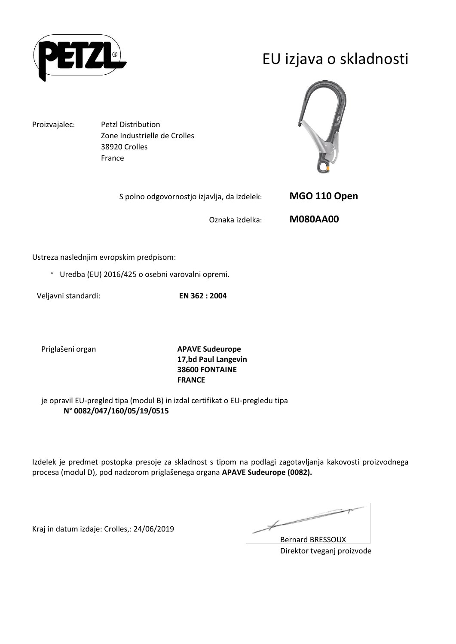

### EU izjava o skladnosti

Proizvajalec: Petzl Distribution Zone Industrielle de Crolles 38920 Crolles France



| S polno odgovornostjo izjavlja, da izdelek: | MGO 110 Open    |
|---------------------------------------------|-----------------|
| Oznaka izdelka:                             | <b>M080AA00</b> |

Ustreza naslednjim evropskim predpisom:

Uredba (EU) 2016/425 o osebni varovalni opremi.

Veljavni standardi: **EN 362 : 2004**

Priglašeni organ **APAVE Sudeurope 17,bd Paul Langevin 38600 FONTAINE FRANCE**

je opravil EU-pregled tipa (modul B) in izdal certifikat o EU-pregledu tipa **N° 0082/047/160/05/19/0515**

Izdelek je predmet postopka presoje za skladnost s tipom na podlagi zagotavljanja kakovosti proizvodnega procesa (modul D), pod nadzorom priglašenega organa **APAVE Sudeurope (0082).**

Kraj in datum izdaje: Crolles,: 24/06/2019

Ł

Bernard BRESSOUX Direktor tveganj proizvode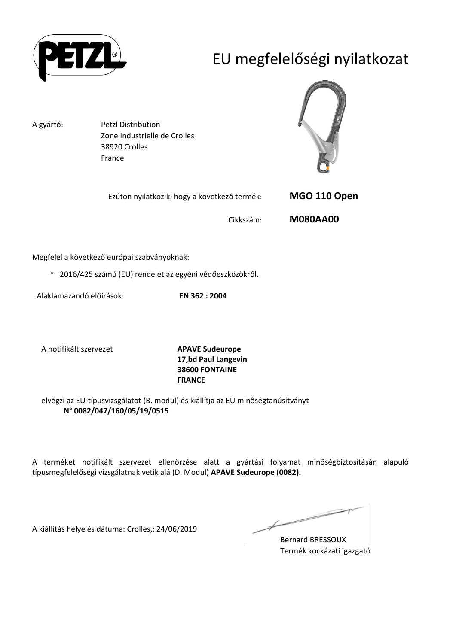

## EU megfelelőségi nyilatkozat

A gyártó: Petzl Distribution Zone Industrielle de Crolles 38920 Crolles France



| Ezúton nyilatkozik, hogy a következő termék: |           | MGO 110 Open    |
|----------------------------------------------|-----------|-----------------|
|                                              | Cikkszám: | <b>M080AA00</b> |

Megfelel a következő európai szabványoknak:

2016/425 számú (EU) rendelet az egyéni védőeszközökről.

Alaklamazandó előírások: **EN 362 : 2004**

A notifikált szervezet **APAVE Sudeurope**

**17,bd Paul Langevin 38600 FONTAINE FRANCE**

elvégzi az EU-típusvizsgálatot (B. modul) és kiállítja az EU minőségtanúsítványt **N° 0082/047/160/05/19/0515**

A terméket notifikált szervezet ellenőrzése alatt a gyártási folyamat minőségbiztosításán alapuló típusmegfelelőségi vizsgálatnak vetik alá (D. Modul) **APAVE Sudeurope (0082).**

A kiállítás helye és dátuma: Crolles,: 24/06/2019

Ł

Bernard BRESSOUX Termék kockázati igazgató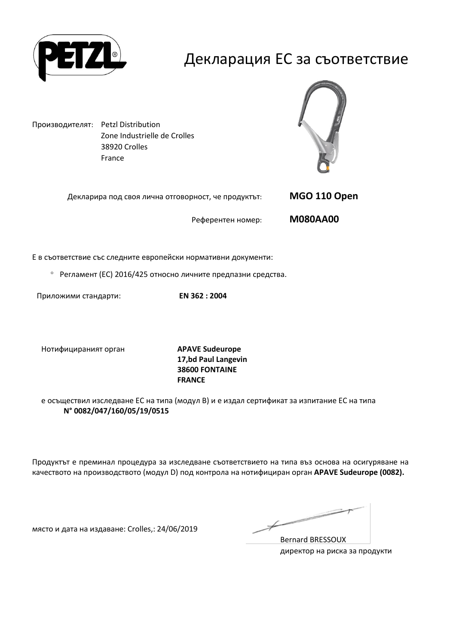

### Декларация ЕС за съответствие

Производителят: Petzl Distribution Zone Industrielle de Crolles 38920 Crolles France



| Декларира под своя лична отговорност, че продуктът: | MGO 110 Open    |
|-----------------------------------------------------|-----------------|
| Референтен номер:                                   | <b>M080AA00</b> |

Е в съответствие със следните европейски нормативни документи:

Регламент (ЕС) 2016/425 относно личните предпазни средства.

Приложими стандарти: **EN 362 : 2004**

Нотифицираният орган **APAVE Sudeurope**

**17,bd Paul Langevin 38600 FONTAINE FRANCE**

е осъществил изследване ЕС на типа (модул В) и е издал сертификат за изпитание ЕС на типа **N° 0082/047/160/05/19/0515**

Продуктът е преминал процедура за изследване съответствието на типа въз основа на осигуряване на качеството на производството (модул D) под контрола на нотифициран орган **APAVE Sudeurope (0082).**

място и дата на издаване: Crolles,: 24/06/2019

Ł

Bernard BRESSOUX директор на риска за продукти